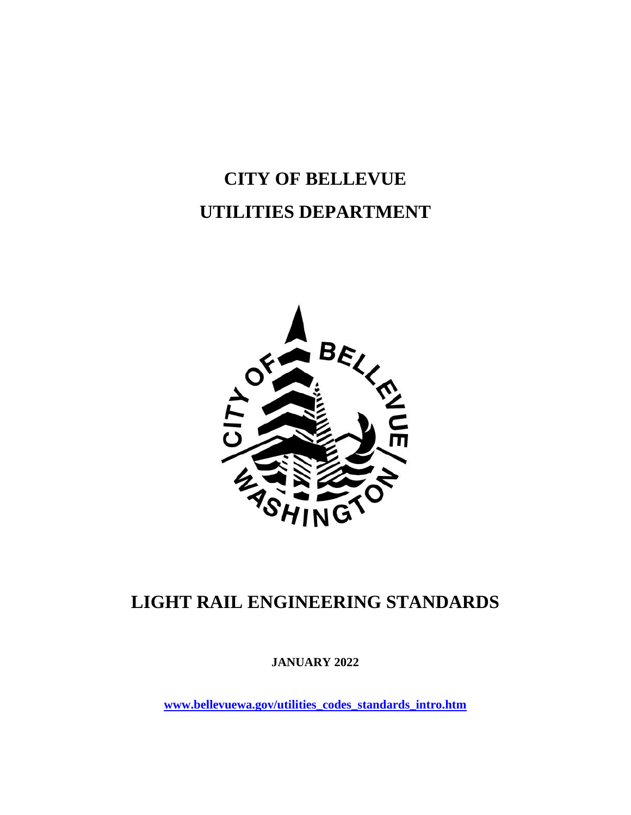# **CITY OF BELLEVUE UTILITIES DEPARTMENT**



## **LIGHT RAIL ENGINEERING STANDARDS**

**JANUARY 2022**

**[www.bellevuewa.gov/utilities\\_codes\\_standards\\_intro.htm](http://www.bellevuewa.gov/utilities_codes_standards_intro.htm)**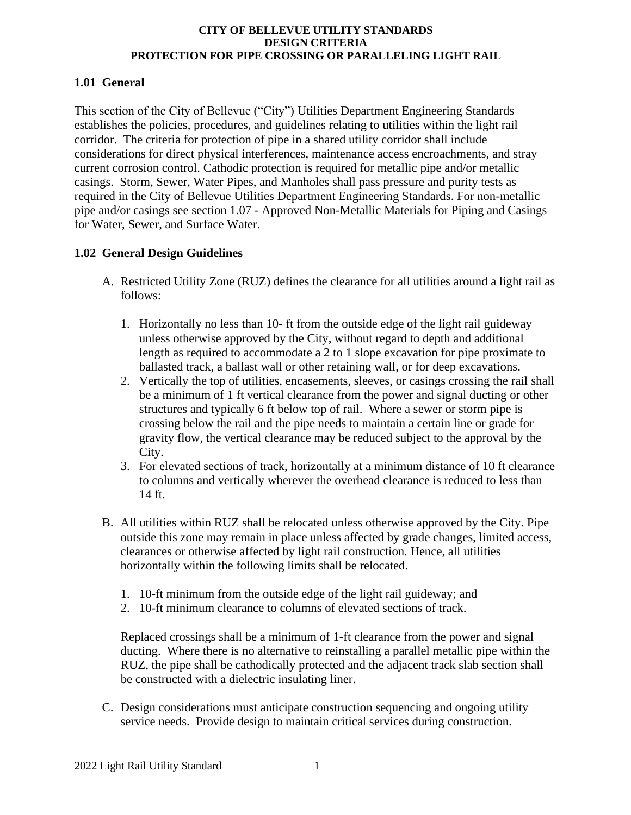## **1.01 General**

This section of the City of Bellevue ("City") Utilities Department Engineering Standards establishes the policies, procedures, and guidelines relating to utilities within the light rail corridor. The criteria for protection of pipe in a shared utility corridor shall include considerations for direct physical interferences, maintenance access encroachments, and stray current corrosion control. Cathodic protection is required for metallic pipe and/or metallic casings. Storm, Sewer, Water Pipes, and Manholes shall pass pressure and purity tests as required in the City of Bellevue Utilities Department Engineering Standards. For non-metallic pipe and/or casings see section 1.07 - Approved Non-Metallic Materials for Piping and Casings for Water, Sewer, and Surface Water.

## **1.02 General Design Guidelines**

- A. Restricted Utility Zone (RUZ) defines the clearance for all utilities around a light rail as follows:
	- 1. Horizontally no less than 10- ft from the outside edge of the light rail guideway unless otherwise approved by the City, without regard to depth and additional length as required to accommodate a 2 to 1 slope excavation for pipe proximate to ballasted track, a ballast wall or other retaining wall, or for deep excavations.
	- 2. Vertically the top of utilities, encasements, sleeves, or casings crossing the rail shall be a minimum of 1 ft vertical clearance from the power and signal ducting or other structures and typically 6 ft below top of rail. Where a sewer or storm pipe is crossing below the rail and the pipe needs to maintain a certain line or grade for gravity flow, the vertical clearance may be reduced subject to the approval by the City.
	- 3. For elevated sections of track, horizontally at a minimum distance of 10 ft clearance to columns and vertically wherever the overhead clearance is reduced to less than 14 ft.
- B. All utilities within RUZ shall be relocated unless otherwise approved by the City. Pipe outside this zone may remain in place unless affected by grade changes, limited access, clearances or otherwise affected by light rail construction. Hence, all utilities horizontally within the following limits shall be relocated.
	- 1. 10-ft minimum from the outside edge of the light rail guideway; and
	- 2. 10-ft minimum clearance to columns of elevated sections of track.

Replaced crossings shall be a minimum of 1-ft clearance from the power and signal ducting. Where there is no alternative to reinstalling a parallel metallic pipe within the RUZ, the pipe shall be cathodically protected and the adjacent track slab section shall be constructed with a dielectric insulating liner.

C. Design considerations must anticipate construction sequencing and ongoing utility service needs. Provide design to maintain critical services during construction.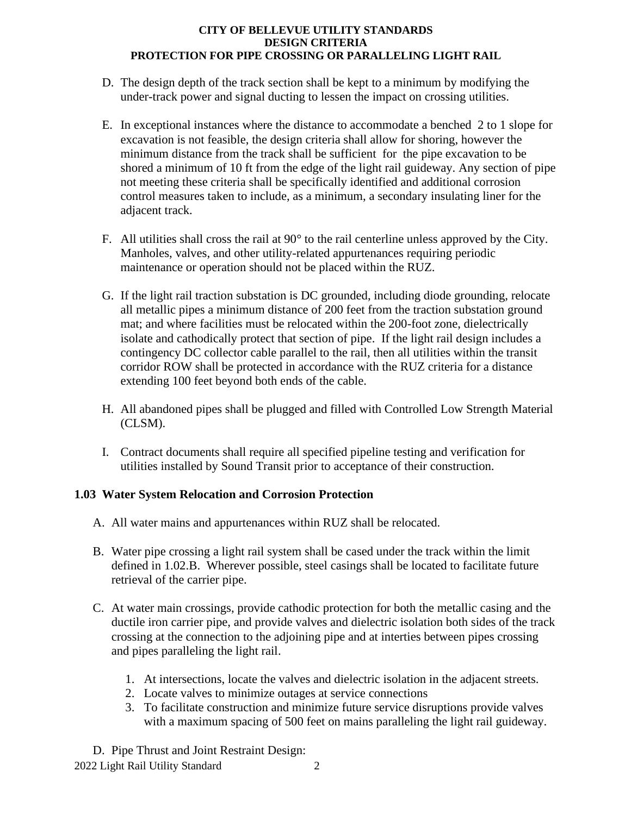- D. The design depth of the track section shall be kept to a minimum by modifying the under-track power and signal ducting to lessen the impact on crossing utilities.
- E. In exceptional instances where the distance to accommodate a benched 2 to 1 slope for excavation is not feasible, the design criteria shall allow for shoring, however the minimum distance from the track shall be sufficient for the pipe excavation to be shored a minimum of 10 ft from the edge of the light rail guideway. Any section of pipe not meeting these criteria shall be specifically identified and additional corrosion control measures taken to include, as a minimum, a secondary insulating liner for the adjacent track.
- F. All utilities shall cross the rail at 90° to the rail centerline unless approved by the City. Manholes, valves, and other utility-related appurtenances requiring periodic maintenance or operation should not be placed within the RUZ.
- G. If the light rail traction substation is DC grounded, including diode grounding, relocate all metallic pipes a minimum distance of 200 feet from the traction substation ground mat; and where facilities must be relocated within the 200-foot zone, dielectrically isolate and cathodically protect that section of pipe. If the light rail design includes a contingency DC collector cable parallel to the rail, then all utilities within the transit corridor ROW shall be protected in accordance with the RUZ criteria for a distance extending 100 feet beyond both ends of the cable.
- H. All abandoned pipes shall be plugged and filled with Controlled Low Strength Material (CLSM).
- I. Contract documents shall require all specified pipeline testing and verification for utilities installed by Sound Transit prior to acceptance of their construction.

## **1.03 Water System Relocation and Corrosion Protection**

- A. All water mains and appurtenances within RUZ shall be relocated.
- B. Water pipe crossing a light rail system shall be cased under the track within the limit defined in 1.02.B. Wherever possible, steel casings shall be located to facilitate future retrieval of the carrier pipe.
- C. At water main crossings, provide cathodic protection for both the metallic casing and the ductile iron carrier pipe, and provide valves and dielectric isolation both sides of the track crossing at the connection to the adjoining pipe and at interties between pipes crossing and pipes paralleling the light rail.
	- 1. At intersections, locate the valves and dielectric isolation in the adjacent streets.
	- 2. Locate valves to minimize outages at service connections
	- 3. To facilitate construction and minimize future service disruptions provide valves with a maximum spacing of 500 feet on mains paralleling the light rail guideway.

2022 Light Rail Utility Standard 2 D. Pipe Thrust and Joint Restraint Design: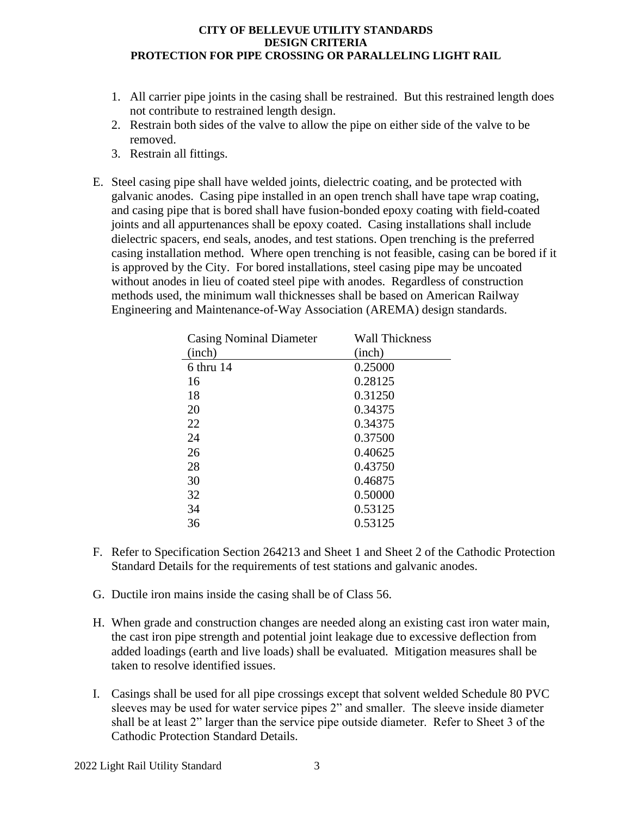- 1. All carrier pipe joints in the casing shall be restrained. But this restrained length does not contribute to restrained length design.
- 2. Restrain both sides of the valve to allow the pipe on either side of the valve to be removed.
- 3. Restrain all fittings.
- E. Steel casing pipe shall have welded joints, dielectric coating, and be protected with galvanic anodes. Casing pipe installed in an open trench shall have tape wrap coating, and casing pipe that is bored shall have fusion-bonded epoxy coating with field-coated joints and all appurtenances shall be epoxy coated. Casing installations shall include dielectric spacers, end seals, anodes, and test stations. Open trenching is the preferred casing installation method. Where open trenching is not feasible, casing can be bored if it is approved by the City. For bored installations, steel casing pipe may be uncoated without anodes in lieu of coated steel pipe with anodes. Regardless of construction methods used, the minimum wall thicknesses shall be based on American Railway Engineering and Maintenance-of-Way Association (AREMA) design standards.

| <b>Casing Nominal Diameter</b> | <b>Wall Thickness</b> |
|--------------------------------|-----------------------|
| (inch)                         | (inch)                |
| 6 thru 14                      | 0.25000               |
| 16                             | 0.28125               |
| 18                             | 0.31250               |
| 20                             | 0.34375               |
| 22                             | 0.34375               |
| 24                             | 0.37500               |
| 26                             | 0.40625               |
| 28                             | 0.43750               |
| 30                             | 0.46875               |
| 32                             | 0.50000               |
| 34                             | 0.53125               |
| 36                             | 0.53125               |

- F. Refer to Specification Section 264213 and Sheet 1 and Sheet 2 of the Cathodic Protection Standard Details for the requirements of test stations and galvanic anodes.
- G. Ductile iron mains inside the casing shall be of Class 56.
- H. When grade and construction changes are needed along an existing cast iron water main, the cast iron pipe strength and potential joint leakage due to excessive deflection from added loadings (earth and live loads) shall be evaluated. Mitigation measures shall be taken to resolve identified issues.
- I. Casings shall be used for all pipe crossings except that solvent welded Schedule 80 PVC sleeves may be used for water service pipes 2" and smaller. The sleeve inside diameter shall be at least 2" larger than the service pipe outside diameter. Refer to Sheet 3 of the Cathodic Protection Standard Details.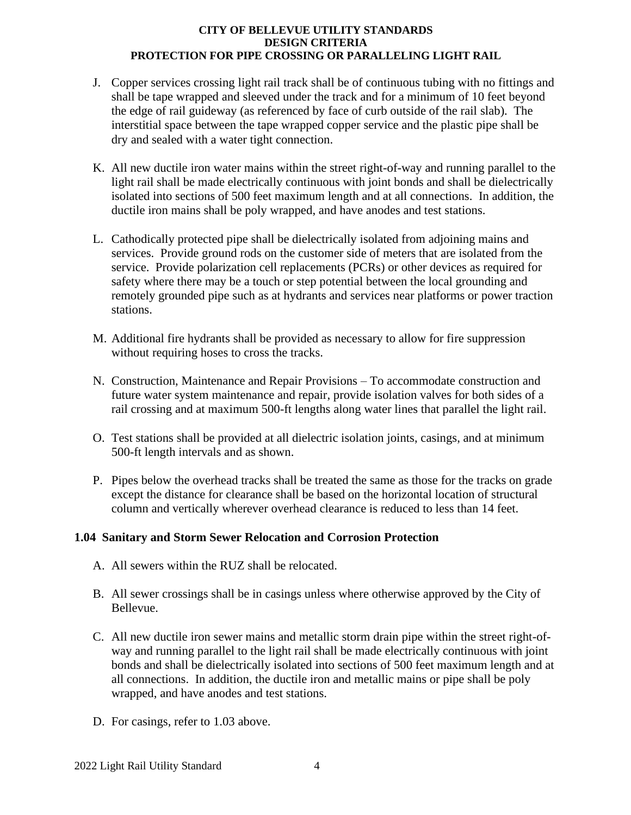- J. Copper services crossing light rail track shall be of continuous tubing with no fittings and shall be tape wrapped and sleeved under the track and for a minimum of 10 feet beyond the edge of rail guideway (as referenced by face of curb outside of the rail slab). The interstitial space between the tape wrapped copper service and the plastic pipe shall be dry and sealed with a water tight connection.
- K. All new ductile iron water mains within the street right-of-way and running parallel to the light rail shall be made electrically continuous with joint bonds and shall be dielectrically isolated into sections of 500 feet maximum length and at all connections. In addition, the ductile iron mains shall be poly wrapped, and have anodes and test stations.
- L. Cathodically protected pipe shall be dielectrically isolated from adjoining mains and services. Provide ground rods on the customer side of meters that are isolated from the service. Provide polarization cell replacements (PCRs) or other devices as required for safety where there may be a touch or step potential between the local grounding and remotely grounded pipe such as at hydrants and services near platforms or power traction stations.
- M. Additional fire hydrants shall be provided as necessary to allow for fire suppression without requiring hoses to cross the tracks.
- N. Construction, Maintenance and Repair Provisions To accommodate construction and future water system maintenance and repair, provide isolation valves for both sides of a rail crossing and at maximum 500-ft lengths along water lines that parallel the light rail.
- O. Test stations shall be provided at all dielectric isolation joints, casings, and at minimum 500-ft length intervals and as shown.
- P. Pipes below the overhead tracks shall be treated the same as those for the tracks on grade except the distance for clearance shall be based on the horizontal location of structural column and vertically wherever overhead clearance is reduced to less than 14 feet.

#### **1.04 Sanitary and Storm Sewer Relocation and Corrosion Protection**

- A. All sewers within the RUZ shall be relocated.
- B. All sewer crossings shall be in casings unless where otherwise approved by the City of Bellevue.
- C. All new ductile iron sewer mains and metallic storm drain pipe within the street right-ofway and running parallel to the light rail shall be made electrically continuous with joint bonds and shall be dielectrically isolated into sections of 500 feet maximum length and at all connections. In addition, the ductile iron and metallic mains or pipe shall be poly wrapped, and have anodes and test stations.
- D. For casings, refer to 1.03 above.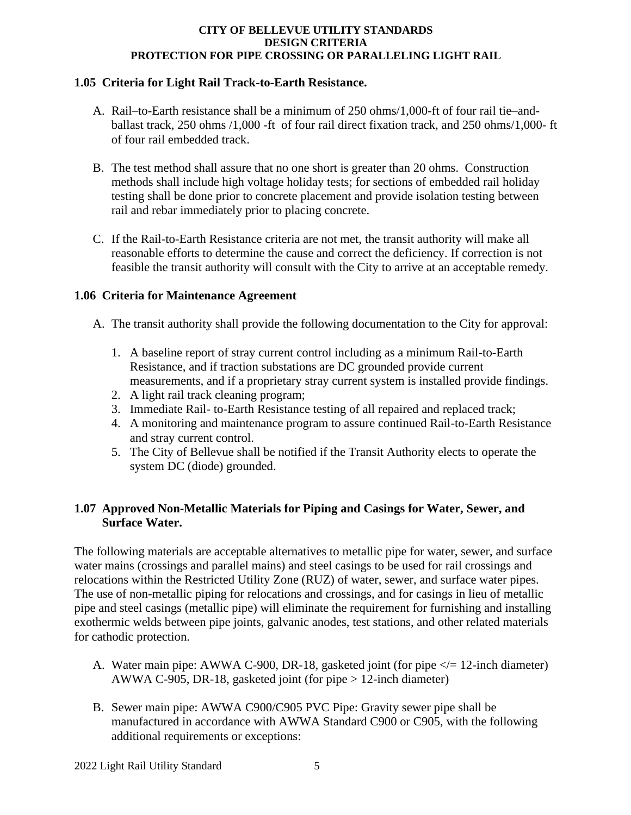## **1.05 Criteria for Light Rail Track-to-Earth Resistance.**

- A. Rail–to-Earth resistance shall be a minimum of 250 ohms/1,000-ft of four rail tie–andballast track, 250 ohms /1,000 -ft of four rail direct fixation track, and 250 ohms/1,000- ft of four rail embedded track.
- B. The test method shall assure that no one short is greater than 20 ohms. Construction methods shall include high voltage holiday tests; for sections of embedded rail holiday testing shall be done prior to concrete placement and provide isolation testing between rail and rebar immediately prior to placing concrete.
- C. If the Rail-to-Earth Resistance criteria are not met, the transit authority will make all reasonable efforts to determine the cause and correct the deficiency. If correction is not feasible the transit authority will consult with the City to arrive at an acceptable remedy.

## **1.06 Criteria for Maintenance Agreement**

- A. The transit authority shall provide the following documentation to the City for approval:
	- 1. A baseline report of stray current control including as a minimum Rail-to-Earth Resistance, and if traction substations are DC grounded provide current measurements, and if a proprietary stray current system is installed provide findings.
	- 2. A light rail track cleaning program;
	- 3. Immediate Rail- to-Earth Resistance testing of all repaired and replaced track;
	- 4. A monitoring and maintenance program to assure continued Rail-to-Earth Resistance and stray current control.
	- 5. The City of Bellevue shall be notified if the Transit Authority elects to operate the system DC (diode) grounded.

## **1.07 Approved Non-Metallic Materials for Piping and Casings for Water, Sewer, and Surface Water.**

The following materials are acceptable alternatives to metallic pipe for water, sewer, and surface water mains (crossings and parallel mains) and steel casings to be used for rail crossings and relocations within the Restricted Utility Zone (RUZ) of water, sewer, and surface water pipes. The use of non-metallic piping for relocations and crossings, and for casings in lieu of metallic pipe and steel casings (metallic pipe) will eliminate the requirement for furnishing and installing exothermic welds between pipe joints, galvanic anodes, test stations, and other related materials for cathodic protection.

- A. Water main pipe: AWWA C-900, DR-18, gasketed joint (for pipe  $\lt$  = 12-inch diameter) AWWA C-905, DR-18, gasketed joint (for pipe > 12-inch diameter)
- B. Sewer main pipe: AWWA C900/C905 PVC Pipe: Gravity sewer pipe shall be manufactured in accordance with AWWA Standard C900 or C905, with the following additional requirements or exceptions: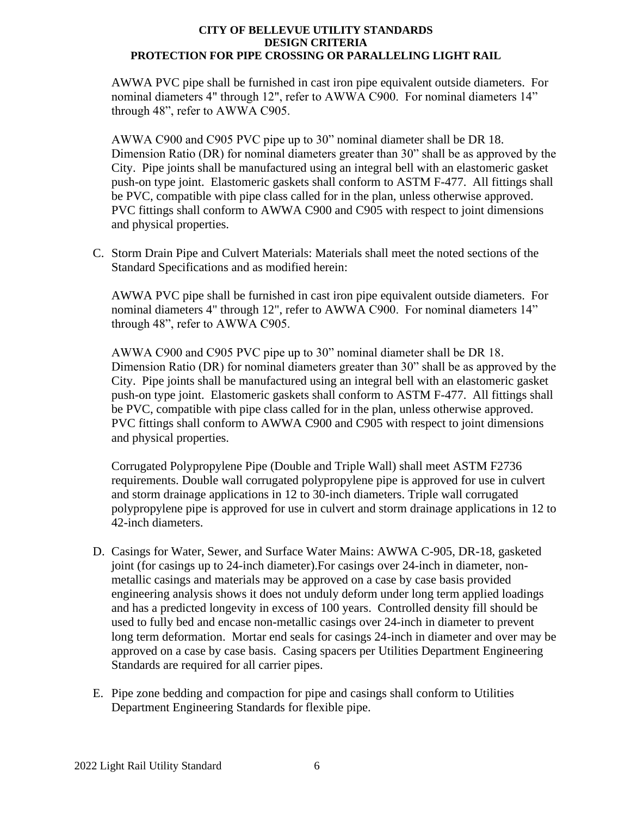AWWA PVC pipe shall be furnished in cast iron pipe equivalent outside diameters. For nominal diameters 4" through 12", refer to AWWA C900. For nominal diameters 14" through 48", refer to AWWA C905.

AWWA C900 and C905 PVC pipe up to 30" nominal diameter shall be DR 18. Dimension Ratio (DR) for nominal diameters greater than 30" shall be as approved by the City. Pipe joints shall be manufactured using an integral bell with an elastomeric gasket push-on type joint. Elastomeric gaskets shall conform to ASTM F-477. All fittings shall be PVC, compatible with pipe class called for in the plan, unless otherwise approved. PVC fittings shall conform to AWWA C900 and C905 with respect to joint dimensions and physical properties.

C. Storm Drain Pipe and Culvert Materials: Materials shall meet the noted sections of the Standard Specifications and as modified herein:

AWWA PVC pipe shall be furnished in cast iron pipe equivalent outside diameters. For nominal diameters 4" through 12", refer to AWWA C900. For nominal diameters 14" through 48", refer to AWWA C905.

AWWA C900 and C905 PVC pipe up to 30" nominal diameter shall be DR 18. Dimension Ratio (DR) for nominal diameters greater than 30" shall be as approved by the City. Pipe joints shall be manufactured using an integral bell with an elastomeric gasket push-on type joint. Elastomeric gaskets shall conform to ASTM F-477. All fittings shall be PVC, compatible with pipe class called for in the plan, unless otherwise approved. PVC fittings shall conform to AWWA C900 and C905 with respect to joint dimensions and physical properties.

Corrugated Polypropylene Pipe (Double and Triple Wall) shall meet ASTM F2736 requirements. Double wall corrugated polypropylene pipe is approved for use in culvert and storm drainage applications in 12 to 30-inch diameters. Triple wall corrugated polypropylene pipe is approved for use in culvert and storm drainage applications in 12 to 42-inch diameters.

- D. Casings for Water, Sewer, and Surface Water Mains: AWWA C-905, DR-18, gasketed joint (for casings up to 24-inch diameter).For casings over 24-inch in diameter, nonmetallic casings and materials may be approved on a case by case basis provided engineering analysis shows it does not unduly deform under long term applied loadings and has a predicted longevity in excess of 100 years. Controlled density fill should be used to fully bed and encase non-metallic casings over 24-inch in diameter to prevent long term deformation. Mortar end seals for casings 24-inch in diameter and over may be approved on a case by case basis. Casing spacers per Utilities Department Engineering Standards are required for all carrier pipes.
- E. Pipe zone bedding and compaction for pipe and casings shall conform to Utilities Department Engineering Standards for flexible pipe.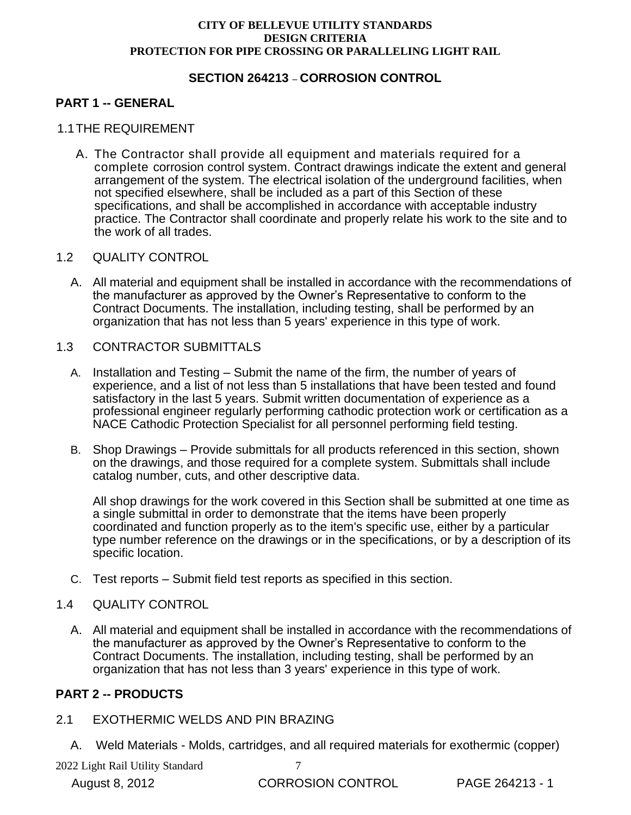## **SECTION 264213** – **CORROSION CONTROL**

## **PART 1 -- GENERAL**

#### 1.1THE REQUIREMENT

A. The Contractor shall provide all equipment and materials required for a complete corrosion control system. Contract drawings indicate the extent and general arrangement of the system. The electrical isolation of the underground facilities, when not specified elsewhere, shall be included as a part of this Section of these specifications, and shall be accomplished in accordance with acceptable industry practice. The Contractor shall coordinate and properly relate his work to the site and to the work of all trades.

#### 1.2 QUALITY CONTROL

A. All material and equipment shall be installed in accordance with the recommendations of the manufacturer as approved by the Owner's Representative to conform to the Contract Documents. The installation, including testing, shall be performed by an organization that has not less than 5 years' experience in this type of work.

#### 1.3 CONTRACTOR SUBMITTALS

- A. Installation and Testing Submit the name of the firm, the number of years of experience, and a list of not less than 5 installations that have been tested and found satisfactory in the last 5 years. Submit written documentation of experience as a professional engineer regularly performing cathodic protection work or certification as a NACE Cathodic Protection Specialist for all personnel performing field testing.
- B. Shop Drawings Provide submittals for all products referenced in this section, shown on the drawings, and those required for a complete system. Submittals shall include catalog number, cuts, and other descriptive data.

All shop drawings for the work covered in this Section shall be submitted at one time as a single submittal in order to demonstrate that the items have been properly coordinated and function properly as to the item's specific use, either by a particular type number reference on the drawings or in the specifications, or by a description of its specific location.

C. Test reports – Submit field test reports as specified in this section.

#### 1.4 QUALITY CONTROL

A. All material and equipment shall be installed in accordance with the recommendations of the manufacturer as approved by the Owner's Representative to conform to the Contract Documents. The installation, including testing, shall be performed by an organization that has not less than 3 years' experience in this type of work.

## **PART 2 -- PRODUCTS**

#### 2.1 EXOTHERMIC WELDS AND PIN BRAZING

A. Weld Materials - Molds, cartridges, and all required materials for exothermic (copper)

2022 Light Rail Utility Standard 7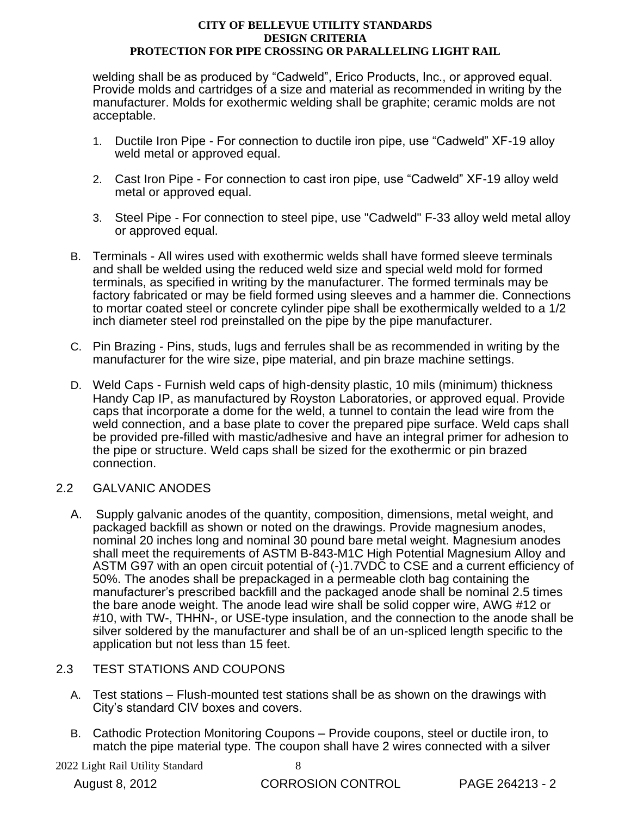welding shall be as produced by "Cadweld", Erico Products, Inc., or approved equal. Provide molds and cartridges of a size and material as recommended in writing by the manufacturer. Molds for exothermic welding shall be graphite; ceramic molds are not acceptable.

- 1. Ductile Iron Pipe For connection to ductile iron pipe, use "Cadweld" XF-19 alloy weld metal or approved equal.
- 2. Cast Iron Pipe For connection to cast iron pipe, use "Cadweld" XF-19 alloy weld metal or approved equal.
- 3. Steel Pipe For connection to steel pipe, use "Cadweld" F-33 alloy weld metal alloy or approved equal.
- B. Terminals All wires used with exothermic welds shall have formed sleeve terminals and shall be welded using the reduced weld size and special weld mold for formed terminals, as specified in writing by the manufacturer. The formed terminals may be factory fabricated or may be field formed using sleeves and a hammer die. Connections to mortar coated steel or concrete cylinder pipe shall be exothermically welded to a 1/2 inch diameter steel rod preinstalled on the pipe by the pipe manufacturer.
- C. Pin Brazing Pins, studs, lugs and ferrules shall be as recommended in writing by the manufacturer for the wire size, pipe material, and pin braze machine settings.
- D. Weld Caps Furnish weld caps of high-density plastic, 10 mils (minimum) thickness Handy Cap IP, as manufactured by Royston Laboratories, or approved equal. Provide caps that incorporate a dome for the weld, a tunnel to contain the lead wire from the weld connection, and a base plate to cover the prepared pipe surface. Weld caps shall be provided pre-filled with mastic/adhesive and have an integral primer for adhesion to the pipe or structure. Weld caps shall be sized for the exothermic or pin brazed connection.

## 2.2 GALVANIC ANODES

A. Supply galvanic anodes of the quantity, composition, dimensions, metal weight, and packaged backfill as shown or noted on the drawings. Provide magnesium anodes, nominal 20 inches long and nominal 30 pound bare metal weight. Magnesium anodes shall meet the requirements of ASTM B-843-M1C High Potential Magnesium Alloy and ASTM G97 with an open circuit potential of (-)1.7VDC to CSE and a current efficiency of 50%. The anodes shall be prepackaged in a permeable cloth bag containing the manufacturer's prescribed backfill and the packaged anode shall be nominal 2.5 times the bare anode weight. The anode lead wire shall be solid copper wire, AWG #12 or #10, with TW-, THHN-, or USE-type insulation, and the connection to the anode shall be silver soldered by the manufacturer and shall be of an un-spliced length specific to the application but not less than 15 feet.

## 2.3 TEST STATIONS AND COUPONS

- A. Test stations Flush-mounted test stations shall be as shown on the drawings with City's standard CIV boxes and covers.
- B. Cathodic Protection Monitoring Coupons Provide coupons, steel or ductile iron, to match the pipe material type. The coupon shall have 2 wires connected with a silver

2022 Light Rail Utility Standard 8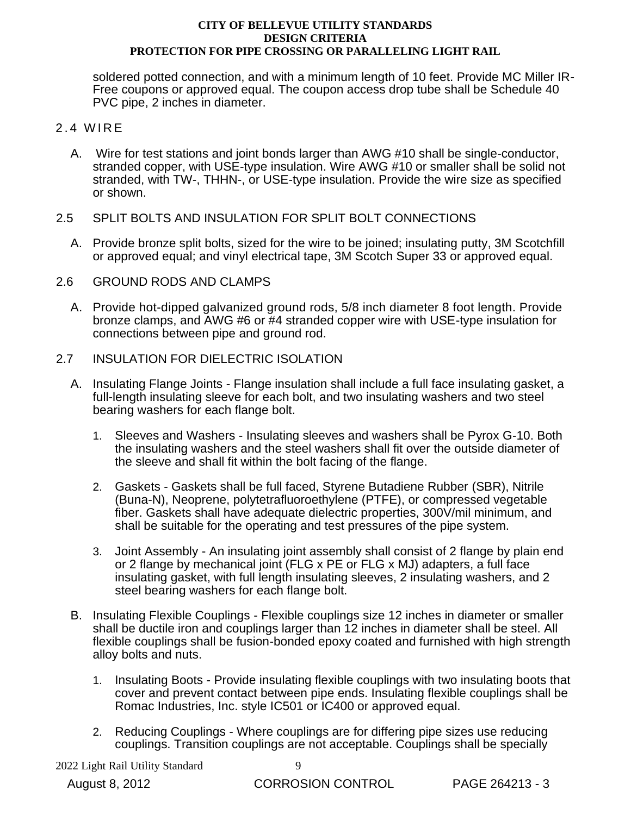soldered potted connection, and with a minimum length of 10 feet. Provide MC Miller IR-Free coupons or approved equal. The coupon access drop tube shall be Schedule 40 PVC pipe, 2 inches in diameter.

#### 2.4 WIRE

- A. Wire for test stations and joint bonds larger than AWG #10 shall be single-conductor, stranded copper, with USE-type insulation. Wire AWG #10 or smaller shall be solid not stranded, with TW-, THHN-, or USE-type insulation. Provide the wire size as specified or shown.
- 2.5 SPLIT BOLTS AND INSULATION FOR SPLIT BOLT CONNECTIONS
	- A. Provide bronze split bolts, sized for the wire to be joined; insulating putty, 3M Scotchfill or approved equal; and vinyl electrical tape, 3M Scotch Super 33 or approved equal.
- 2.6 GROUND RODS AND CLAMPS
	- A. Provide hot-dipped galvanized ground rods, 5/8 inch diameter 8 foot length. Provide bronze clamps, and AWG #6 or #4 stranded copper wire with USE-type insulation for connections between pipe and ground rod.
- 2.7 INSULATION FOR DIELECTRIC ISOLATION
	- A. Insulating Flange Joints Flange insulation shall include a full face insulating gasket, a full-length insulating sleeve for each bolt, and two insulating washers and two steel bearing washers for each flange bolt.
		- 1. Sleeves and Washers Insulating sleeves and washers shall be Pyrox G-10. Both the insulating washers and the steel washers shall fit over the outside diameter of the sleeve and shall fit within the bolt facing of the flange.
		- 2. Gaskets Gaskets shall be full faced, Styrene Butadiene Rubber (SBR), Nitrile (Buna-N), Neoprene, polytetrafluoroethylene (PTFE), or compressed vegetable fiber. Gaskets shall have adequate dielectric properties, 300V/mil minimum, and shall be suitable for the operating and test pressures of the pipe system.
		- 3. Joint Assembly An insulating joint assembly shall consist of 2 flange by plain end or 2 flange by mechanical joint (FLG x PE or FLG x MJ) adapters, a full face insulating gasket, with full length insulating sleeves, 2 insulating washers, and 2 steel bearing washers for each flange bolt.
	- B. Insulating Flexible Couplings Flexible couplings size 12 inches in diameter or smaller shall be ductile iron and couplings larger than 12 inches in diameter shall be steel. All flexible couplings shall be fusion-bonded epoxy coated and furnished with high strength alloy bolts and nuts.
		- 1. Insulating Boots Provide insulating flexible couplings with two insulating boots that cover and prevent contact between pipe ends. Insulating flexible couplings shall be Romac Industries, Inc. style IC501 or IC400 or approved equal.
		- 2. Reducing Couplings Where couplings are for differing pipe sizes use reducing couplings. Transition couplings are not acceptable. Couplings shall be specially

2022 Light Rail Utility Standard 9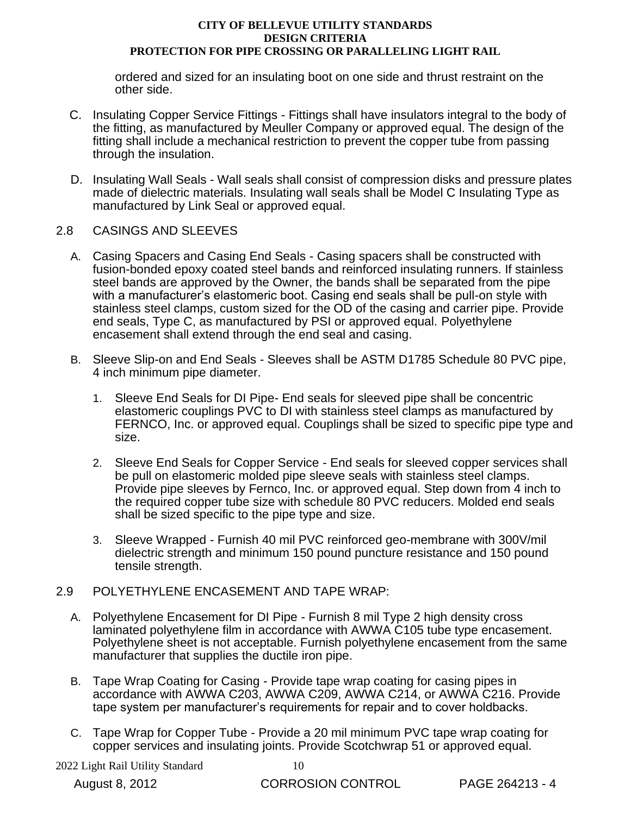ordered and sized for an insulating boot on one side and thrust restraint on the other side.

- C. Insulating Copper Service Fittings Fittings shall have insulators integral to the body of the fitting, as manufactured by Meuller Company or approved equal. The design of the fitting shall include a mechanical restriction to prevent the copper tube from passing through the insulation.
- D. Insulating Wall Seals Wall seals shall consist of compression disks and pressure plates made of dielectric materials. Insulating wall seals shall be Model C Insulating Type as manufactured by Link Seal or approved equal.

## 2.8 CASINGS AND SLEEVES

- A. Casing Spacers and Casing End Seals Casing spacers shall be constructed with fusion-bonded epoxy coated steel bands and reinforced insulating runners. If stainless steel bands are approved by the Owner, the bands shall be separated from the pipe with a manufacturer's elastomeric boot. Casing end seals shall be pull-on style with stainless steel clamps, custom sized for the OD of the casing and carrier pipe. Provide end seals, Type C, as manufactured by PSI or approved equal. Polyethylene encasement shall extend through the end seal and casing.
- B. Sleeve Slip-on and End Seals Sleeves shall be ASTM D1785 Schedule 80 PVC pipe, 4 inch minimum pipe diameter.
	- 1. Sleeve End Seals for DI Pipe- End seals for sleeved pipe shall be concentric elastomeric couplings PVC to DI with stainless steel clamps as manufactured by FERNCO, Inc. or approved equal. Couplings shall be sized to specific pipe type and size.
	- 2. Sleeve End Seals for Copper Service End seals for sleeved copper services shall be pull on elastomeric molded pipe sleeve seals with stainless steel clamps. Provide pipe sleeves by Fernco, Inc. or approved equal. Step down from 4 inch to the required copper tube size with schedule 80 PVC reducers. Molded end seals shall be sized specific to the pipe type and size.
	- 3. Sleeve Wrapped Furnish 40 mil PVC reinforced geo-membrane with 300V/mil dielectric strength and minimum 150 pound puncture resistance and 150 pound tensile strength.

## 2.9 POLYETHYLENE ENCASEMENT AND TAPE WRAP:

- A. Polyethylene Encasement for DI Pipe Furnish 8 mil Type 2 high density cross laminated polyethylene film in accordance with AWWA C105 tube type encasement. Polyethylene sheet is not acceptable. Furnish polyethylene encasement from the same manufacturer that supplies the ductile iron pipe.
- B. Tape Wrap Coating for Casing Provide tape wrap coating for casing pipes in accordance with AWWA C203, AWWA C209, AWWA C214, or AWWA C216. Provide tape system per manufacturer's requirements for repair and to cover holdbacks.
- C. Tape Wrap for Copper Tube Provide a 20 mil minimum PVC tape wrap coating for copper services and insulating joints. Provide Scotchwrap 51 or approved equal.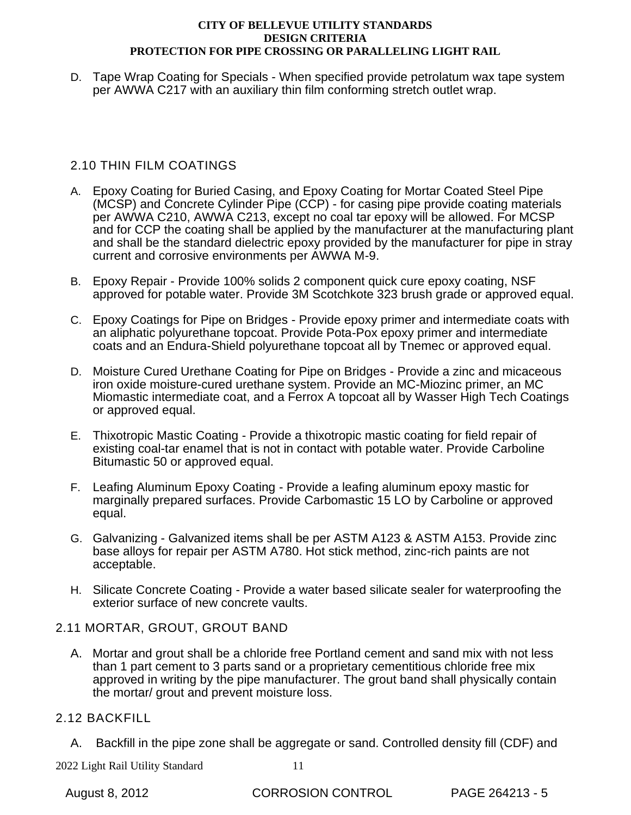D. Tape Wrap Coating for Specials - When specified provide petrolatum wax tape system per AWWA C217 with an auxiliary thin film conforming stretch outlet wrap.

## 2.10 THIN FILM COATINGS

- A. Epoxy Coating for Buried Casing, and Epoxy Coating for Mortar Coated Steel Pipe (MCSP) and Concrete Cylinder Pipe (CCP) - for casing pipe provide coating materials per AWWA C210, AWWA C213, except no coal tar epoxy will be allowed. For MCSP and for CCP the coating shall be applied by the manufacturer at the manufacturing plant and shall be the standard dielectric epoxy provided by the manufacturer for pipe in stray current and corrosive environments per AWWA M-9.
- B. Epoxy Repair Provide 100% solids 2 component quick cure epoxy coating, NSF approved for potable water. Provide 3M Scotchkote 323 brush grade or approved equal.
- C. Epoxy Coatings for Pipe on Bridges Provide epoxy primer and intermediate coats with an aliphatic polyurethane topcoat. Provide Pota-Pox epoxy primer and intermediate coats and an Endura-Shield polyurethane topcoat all by Tnemec or approved equal.
- D. Moisture Cured Urethane Coating for Pipe on Bridges Provide a zinc and micaceous iron oxide moisture-cured urethane system. Provide an MC-Miozinc primer, an MC Miomastic intermediate coat, and a Ferrox A topcoat all by Wasser High Tech Coatings or approved equal.
- E. Thixotropic Mastic Coating Provide a thixotropic mastic coating for field repair of existing coal-tar enamel that is not in contact with potable water. Provide Carboline Bitumastic 50 or approved equal.
- F. Leafing Aluminum Epoxy Coating Provide a leafing aluminum epoxy mastic for marginally prepared surfaces. Provide Carbomastic 15 LO by Carboline or approved equal.
- G. Galvanizing Galvanized items shall be per ASTM A123 & ASTM A153. Provide zinc base alloys for repair per ASTM A780. Hot stick method, zinc-rich paints are not acceptable.
- H. Silicate Concrete Coating Provide a water based silicate sealer for waterproofing the exterior surface of new concrete vaults.

## 2.11 MORTAR, GROUT, GROUT BAND

A. Mortar and grout shall be a chloride free Portland cement and sand mix with not less than 1 part cement to 3 parts sand or a proprietary cementitious chloride free mix approved in writing by the pipe manufacturer. The grout band shall physically contain the mortar/ grout and prevent moisture loss.

## 2.12 BACKFILL

A. Backfill in the pipe zone shall be aggregate or sand. Controlled density fill (CDF) and

2022 Light Rail Utility Standard 11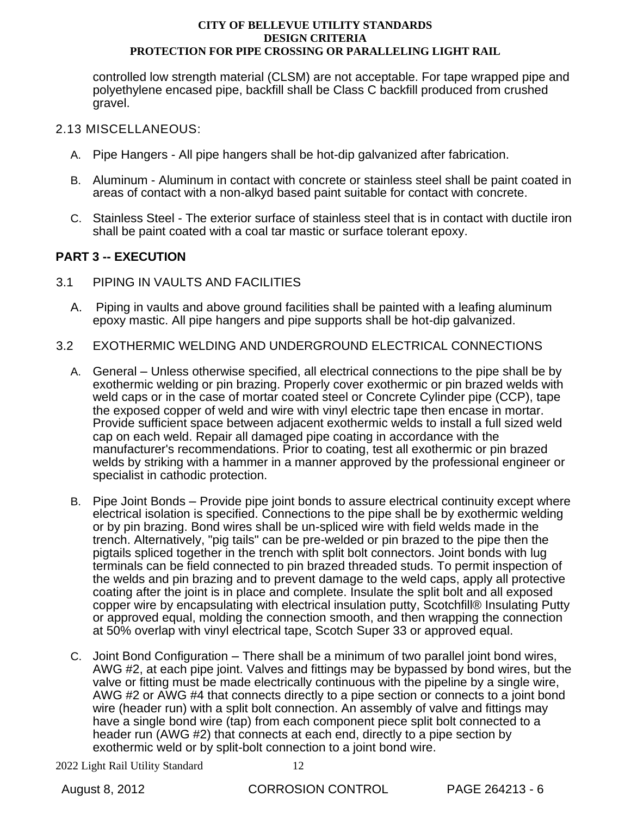controlled low strength material (CLSM) are not acceptable. For tape wrapped pipe and polyethylene encased pipe, backfill shall be Class C backfill produced from crushed gravel.

## 2.13 MISCELLANEOUS:

- A. Pipe Hangers All pipe hangers shall be hot-dip galvanized after fabrication.
- B. Aluminum Aluminum in contact with concrete or stainless steel shall be paint coated in areas of contact with a non-alkyd based paint suitable for contact with concrete.
- C. Stainless Steel The exterior surface of stainless steel that is in contact with ductile iron shall be paint coated with a coal tar mastic or surface tolerant epoxy.

## **PART 3 -- EXECUTION**

- 3.1 PIPING IN VAULTS AND FACILITIES
	- A. Piping in vaults and above ground facilities shall be painted with a leafing aluminum epoxy mastic. All pipe hangers and pipe supports shall be hot-dip galvanized.
- 3.2 EXOTHERMIC WELDING AND UNDERGROUND ELECTRICAL CONNECTIONS
	- A. General Unless otherwise specified, all electrical connections to the pipe shall be by exothermic welding or pin brazing. Properly cover exothermic or pin brazed welds with weld caps or in the case of mortar coated steel or Concrete Cylinder pipe (CCP), tape the exposed copper of weld and wire with vinyl electric tape then encase in mortar. Provide sufficient space between adjacent exothermic welds to install a full sized weld cap on each weld. Repair all damaged pipe coating in accordance with the manufacturer's recommendations. Prior to coating, test all exothermic or pin brazed welds by striking with a hammer in a manner approved by the professional engineer or specialist in cathodic protection.
	- B. Pipe Joint Bonds Provide pipe joint bonds to assure electrical continuity except where electrical isolation is specified. Connections to the pipe shall be by exothermic welding or by pin brazing. Bond wires shall be un-spliced wire with field welds made in the trench. Alternatively, "pig tails" can be pre-welded or pin brazed to the pipe then the pigtails spliced together in the trench with split bolt connectors. Joint bonds with lug terminals can be field connected to pin brazed threaded studs. To permit inspection of the welds and pin brazing and to prevent damage to the weld caps, apply all protective coating after the joint is in place and complete. Insulate the split bolt and all exposed copper wire by encapsulating with electrical insulation putty, Scotchfill® Insulating Putty or approved equal, molding the connection smooth, and then wrapping the connection at 50% overlap with vinyl electrical tape, Scotch Super 33 or approved equal.
	- C. Joint Bond Configuration There shall be a minimum of two parallel joint bond wires, AWG #2, at each pipe joint. Valves and fittings may be bypassed by bond wires, but the valve or fitting must be made electrically continuous with the pipeline by a single wire, AWG #2 or AWG #4 that connects directly to a pipe section or connects to a joint bond wire (header run) with a split bolt connection. An assembly of valve and fittings may have a single bond wire (tap) from each component piece split bolt connected to a header run (AWG #2) that connects at each end, directly to a pipe section by exothermic weld or by split-bolt connection to a joint bond wire.

2022 Light Rail Utility Standard 12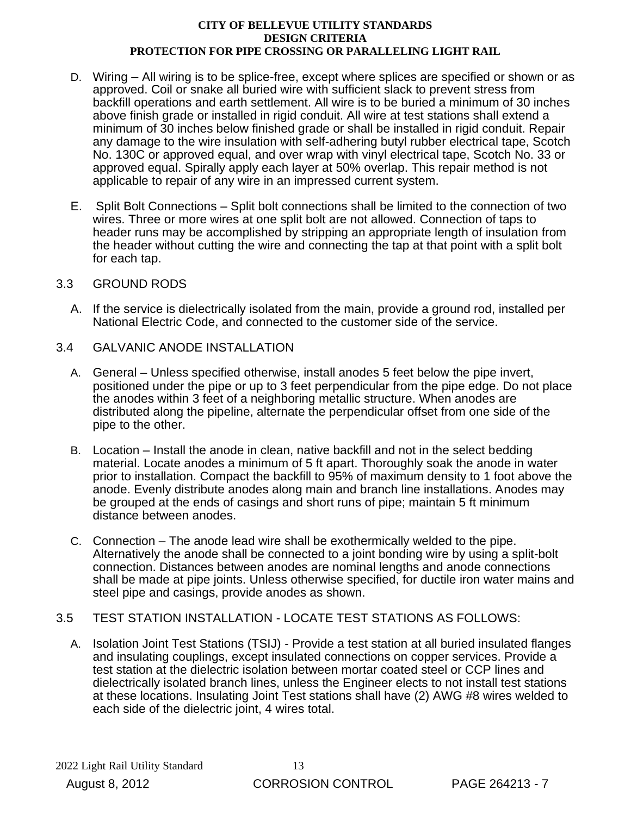- D. Wiring All wiring is to be splice-free, except where splices are specified or shown or as approved. Coil or snake all buried wire with sufficient slack to prevent stress from backfill operations and earth settlement. All wire is to be buried a minimum of 30 inches above finish grade or installed in rigid conduit. All wire at test stations shall extend a minimum of 30 inches below finished grade or shall be installed in rigid conduit. Repair any damage to the wire insulation with self-adhering butyl rubber electrical tape, Scotch No. 130C or approved equal, and over wrap with vinyl electrical tape, Scotch No. 33 or approved equal. Spirally apply each layer at 50% overlap. This repair method is not applicable to repair of any wire in an impressed current system.
- E. Split Bolt Connections Split bolt connections shall be limited to the connection of two wires. Three or more wires at one split bolt are not allowed. Connection of taps to header runs may be accomplished by stripping an appropriate length of insulation from the header without cutting the wire and connecting the tap at that point with a split bolt for each tap.

## 3.3 GROUND RODS

- A. If the service is dielectrically isolated from the main, provide a ground rod, installed per National Electric Code, and connected to the customer side of the service.
- 3.4 GALVANIC ANODE INSTALLATION
	- A. General Unless specified otherwise, install anodes 5 feet below the pipe invert, positioned under the pipe or up to 3 feet perpendicular from the pipe edge. Do not place the anodes within 3 feet of a neighboring metallic structure. When anodes are distributed along the pipeline, alternate the perpendicular offset from one side of the pipe to the other.
	- B. Location Install the anode in clean, native backfill and not in the select bedding material. Locate anodes a minimum of 5 ft apart. Thoroughly soak the anode in water prior to installation. Compact the backfill to 95% of maximum density to 1 foot above the anode. Evenly distribute anodes along main and branch line installations. Anodes may be grouped at the ends of casings and short runs of pipe; maintain 5 ft minimum distance between anodes.
	- C. Connection The anode lead wire shall be exothermically welded to the pipe. Alternatively the anode shall be connected to a joint bonding wire by using a split-bolt connection. Distances between anodes are nominal lengths and anode connections shall be made at pipe joints. Unless otherwise specified, for ductile iron water mains and steel pipe and casings, provide anodes as shown.
- 3.5 TEST STATION INSTALLATION LOCATE TEST STATIONS AS FOLLOWS:
	- A. Isolation Joint Test Stations (TSIJ) Provide a test station at all buried insulated flanges and insulating couplings, except insulated connections on copper services. Provide a test station at the dielectric isolation between mortar coated steel or CCP lines and dielectrically isolated branch lines, unless the Engineer elects to not install test stations at these locations. Insulating Joint Test stations shall have (2) AWG #8 wires welded to each side of the dielectric joint, 4 wires total.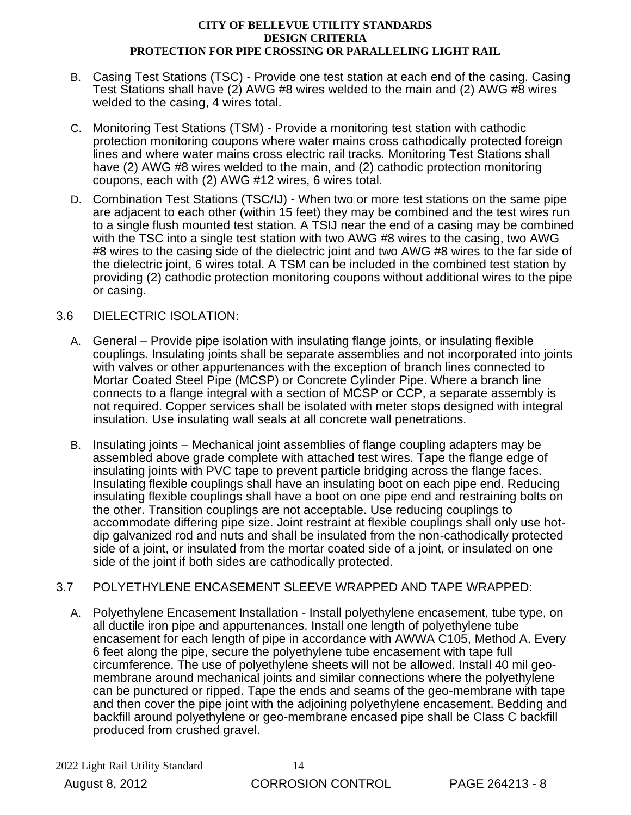- B. Casing Test Stations (TSC) Provide one test station at each end of the casing. Casing Test Stations shall have (2) AWG #8 wires welded to the main and (2) AWG #8 wires welded to the casing, 4 wires total.
- C. Monitoring Test Stations (TSM) Provide a monitoring test station with cathodic protection monitoring coupons where water mains cross cathodically protected foreign lines and where water mains cross electric rail tracks. Monitoring Test Stations shall have (2) AWG #8 wires welded to the main, and (2) cathodic protection monitoring coupons, each with (2) AWG #12 wires, 6 wires total.
- D. Combination Test Stations (TSC/IJ) When two or more test stations on the same pipe are adjacent to each other (within 15 feet) they may be combined and the test wires run to a single flush mounted test station. A TSIJ near the end of a casing may be combined with the TSC into a single test station with two AWG #8 wires to the casing, two AWG #8 wires to the casing side of the dielectric joint and two AWG #8 wires to the far side of the dielectric joint, 6 wires total. A TSM can be included in the combined test station by providing (2) cathodic protection monitoring coupons without additional wires to the pipe or casing.

## 3.6 DIELECTRIC ISOLATION:

- A. General Provide pipe isolation with insulating flange joints, or insulating flexible couplings. Insulating joints shall be separate assemblies and not incorporated into joints with valves or other appurtenances with the exception of branch lines connected to Mortar Coated Steel Pipe (MCSP) or Concrete Cylinder Pipe. Where a branch line connects to a flange integral with a section of MCSP or CCP, a separate assembly is not required. Copper services shall be isolated with meter stops designed with integral insulation. Use insulating wall seals at all concrete wall penetrations.
- B. Insulating joints Mechanical joint assemblies of flange coupling adapters may be assembled above grade complete with attached test wires. Tape the flange edge of insulating joints with PVC tape to prevent particle bridging across the flange faces. Insulating flexible couplings shall have an insulating boot on each pipe end. Reducing insulating flexible couplings shall have a boot on one pipe end and restraining bolts on the other. Transition couplings are not acceptable. Use reducing couplings to accommodate differing pipe size. Joint restraint at flexible couplings shall only use hotdip galvanized rod and nuts and shall be insulated from the non-cathodically protected side of a joint, or insulated from the mortar coated side of a joint, or insulated on one side of the joint if both sides are cathodically protected.

## 3.7 POLYETHYLENE ENCASEMENT SLEEVE WRAPPED AND TAPE WRAPPED:

A. Polyethylene Encasement Installation - Install polyethylene encasement, tube type, on all ductile iron pipe and appurtenances. Install one length of polyethylene tube encasement for each length of pipe in accordance with AWWA C105, Method A. Every 6 feet along the pipe, secure the polyethylene tube encasement with tape full circumference. The use of polyethylene sheets will not be allowed. Install 40 mil geomembrane around mechanical joints and similar connections where the polyethylene can be punctured or ripped. Tape the ends and seams of the geo-membrane with tape and then cover the pipe joint with the adjoining polyethylene encasement. Bedding and backfill around polyethylene or geo-membrane encased pipe shall be Class C backfill produced from crushed gravel.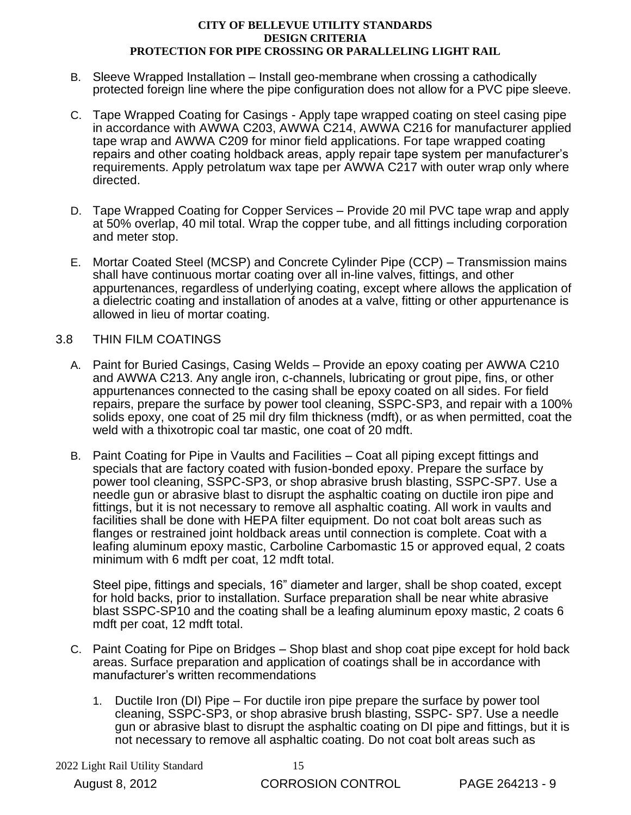- B. Sleeve Wrapped Installation Install geo-membrane when crossing a cathodically protected foreign line where the pipe configuration does not allow for a PVC pipe sleeve.
- C. Tape Wrapped Coating for Casings Apply tape wrapped coating on steel casing pipe in accordance with AWWA C203, AWWA C214, AWWA C216 for manufacturer applied tape wrap and AWWA C209 for minor field applications. For tape wrapped coating repairs and other coating holdback areas, apply repair tape system per manufacturer's requirements. Apply petrolatum wax tape per AWWA C217 with outer wrap only where directed.
- D. Tape Wrapped Coating for Copper Services Provide 20 mil PVC tape wrap and apply at 50% overlap, 40 mil total. Wrap the copper tube, and all fittings including corporation and meter stop.
- E. Mortar Coated Steel (MCSP) and Concrete Cylinder Pipe (CCP) Transmission mains shall have continuous mortar coating over all in-line valves, fittings, and other appurtenances, regardless of underlying coating, except where allows the application of a dielectric coating and installation of anodes at a valve, fitting or other appurtenance is allowed in lieu of mortar coating.

## 3.8 THIN FILM COATINGS

- A. Paint for Buried Casings, Casing Welds Provide an epoxy coating per AWWA C210 and AWWA C213. Any angle iron, c-channels, lubricating or grout pipe, fins, or other appurtenances connected to the casing shall be epoxy coated on all sides. For field repairs, prepare the surface by power tool cleaning, SSPC-SP3, and repair with a 100% solids epoxy, one coat of 25 mil dry film thickness (mdft), or as when permitted, coat the weld with a thixotropic coal tar mastic, one coat of 20 mdft.
- B. Paint Coating for Pipe in Vaults and Facilities Coat all piping except fittings and specials that are factory coated with fusion-bonded epoxy. Prepare the surface by power tool cleaning, SSPC-SP3, or shop abrasive brush blasting, SSPC-SP7. Use a needle gun or abrasive blast to disrupt the asphaltic coating on ductile iron pipe and fittings, but it is not necessary to remove all asphaltic coating. All work in vaults and facilities shall be done with HEPA filter equipment. Do not coat bolt areas such as flanges or restrained joint holdback areas until connection is complete. Coat with a leafing aluminum epoxy mastic, Carboline Carbomastic 15 or approved equal, 2 coats minimum with 6 mdft per coat, 12 mdft total.

Steel pipe, fittings and specials, 16" diameter and larger, shall be shop coated, except for hold backs, prior to installation. Surface preparation shall be near white abrasive blast SSPC-SP10 and the coating shall be a leafing aluminum epoxy mastic, 2 coats 6 mdft per coat, 12 mdft total.

- C. Paint Coating for Pipe on Bridges Shop blast and shop coat pipe except for hold back areas. Surface preparation and application of coatings shall be in accordance with manufacturer's written recommendations
	- 1. Ductile Iron (DI) Pipe For ductile iron pipe prepare the surface by power tool cleaning, SSPC-SP3, or shop abrasive brush blasting, SSPC- SP7. Use a needle gun or abrasive blast to disrupt the asphaltic coating on DI pipe and fittings, but it is not necessary to remove all asphaltic coating. Do not coat bolt areas such as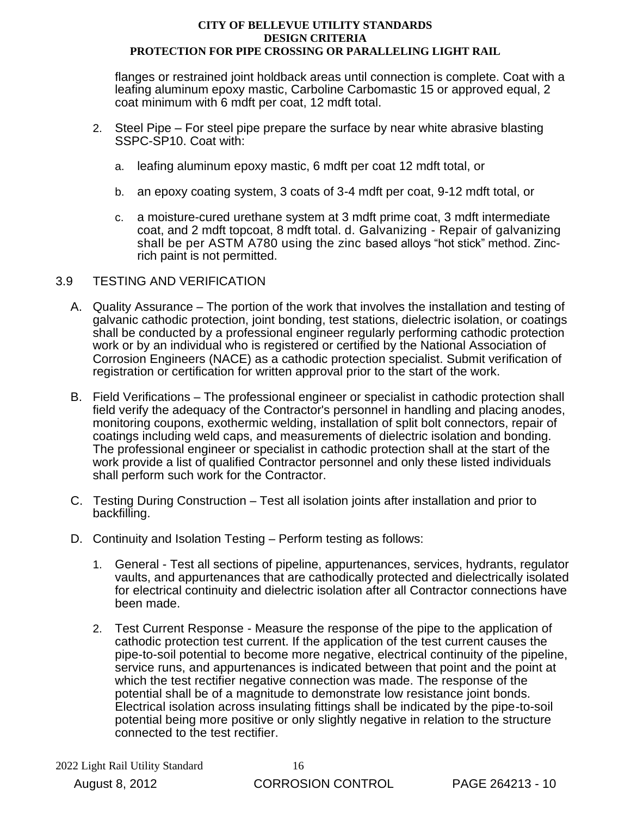flanges or restrained joint holdback areas until connection is complete. Coat with a leafing aluminum epoxy mastic, Carboline Carbomastic 15 or approved equal, 2 coat minimum with 6 mdft per coat, 12 mdft total.

- 2. Steel Pipe For steel pipe prepare the surface by near white abrasive blasting SSPC-SP10. Coat with:
	- a. leafing aluminum epoxy mastic, 6 mdft per coat 12 mdft total, or
	- b. an epoxy coating system, 3 coats of 3-4 mdft per coat, 9-12 mdft total, or
	- c. a moisture-cured urethane system at 3 mdft prime coat, 3 mdft intermediate coat, and 2 mdft topcoat, 8 mdft total. d. Galvanizing - Repair of galvanizing shall be per ASTM A780 using the zinc based alloys "hot stick" method. Zincrich paint is not permitted.

## 3.9 TESTING AND VERIFICATION

- A. Quality Assurance The portion of the work that involves the installation and testing of galvanic cathodic protection, joint bonding, test stations, dielectric isolation, or coatings shall be conducted by a professional engineer regularly performing cathodic protection work or by an individual who is registered or certified by the National Association of Corrosion Engineers (NACE) as a cathodic protection specialist. Submit verification of registration or certification for written approval prior to the start of the work.
- B. Field Verifications The professional engineer or specialist in cathodic protection shall field verify the adequacy of the Contractor's personnel in handling and placing anodes, monitoring coupons, exothermic welding, installation of split bolt connectors, repair of coatings including weld caps, and measurements of dielectric isolation and bonding. The professional engineer or specialist in cathodic protection shall at the start of the work provide a list of qualified Contractor personnel and only these listed individuals shall perform such work for the Contractor.
- C. Testing During Construction Test all isolation joints after installation and prior to backfilling.
- D. Continuity and Isolation Testing Perform testing as follows:
	- 1. General Test all sections of pipeline, appurtenances, services, hydrants, regulator vaults, and appurtenances that are cathodically protected and dielectrically isolated for electrical continuity and dielectric isolation after all Contractor connections have been made.
	- 2. Test Current Response Measure the response of the pipe to the application of cathodic protection test current. If the application of the test current causes the pipe-to-soil potential to become more negative, electrical continuity of the pipeline, service runs, and appurtenances is indicated between that point and the point at which the test rectifier negative connection was made. The response of the potential shall be of a magnitude to demonstrate low resistance joint bonds. Electrical isolation across insulating fittings shall be indicated by the pipe-to-soil potential being more positive or only slightly negative in relation to the structure connected to the test rectifier.